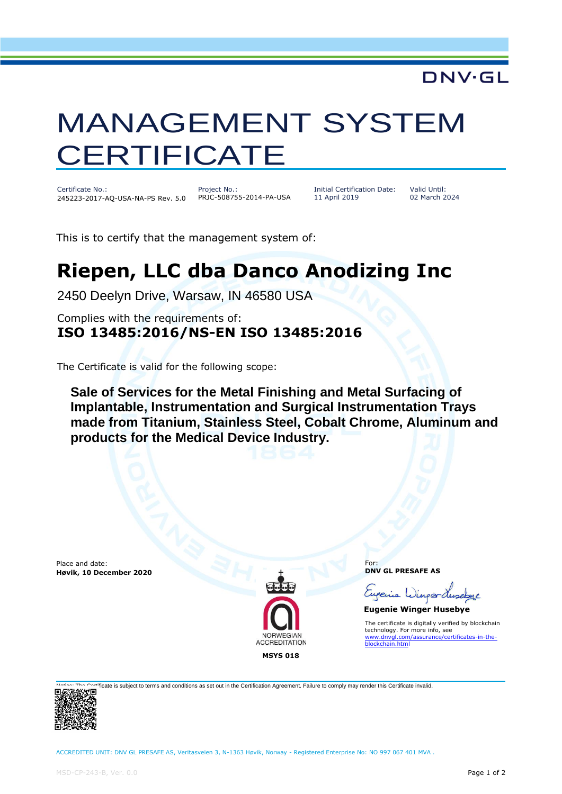## **DNV·GL**

## MANAGEMENT SYSTEM **CERTIFICATE**

Certificate No.: 245223-2017-AQ-USA-NA-PS Rev. 5.0

Project No.: PRJC-508755-2014-PA-USA Initial Certification Date: 11 April 2019

Valid Until: 02 March 2024

This is to certify that the management system of:

## **Riepen, LLC dba Danco Anodizing Inc**

2450 Deelyn Drive, Warsaw, IN 46580 USA

Complies with the requirements of: **ISO 13485:2016/NS-EN ISO 13485:2016**

The Certificate is valid for the following scope:

**Sale of Services for the Metal Finishing and Metal Surfacing of Implantable, Instrumentation and Surgical Instrumentation Trays made from Titanium, Stainless Steel, Cobalt Chrome, Aluminum and products for the Medical Device Industry.**

Place and date: **Høvik, 10 December 2020**



For: **DNV GL PRESAFE AS**

Eupenie Winper

 **Eugenie Winger Husebye**

The certificate is digitally verified by blockchain technology. For more info, see [www.dnvgl.com/assurance/certificates-in-the](http://www.dnvgl.com/assurance/certificates-in-the-)**ckchain.html** 

icate is subject to terms and conditions as set out in the Certification Agreement. Failure to comply may render this Certificate invalid.